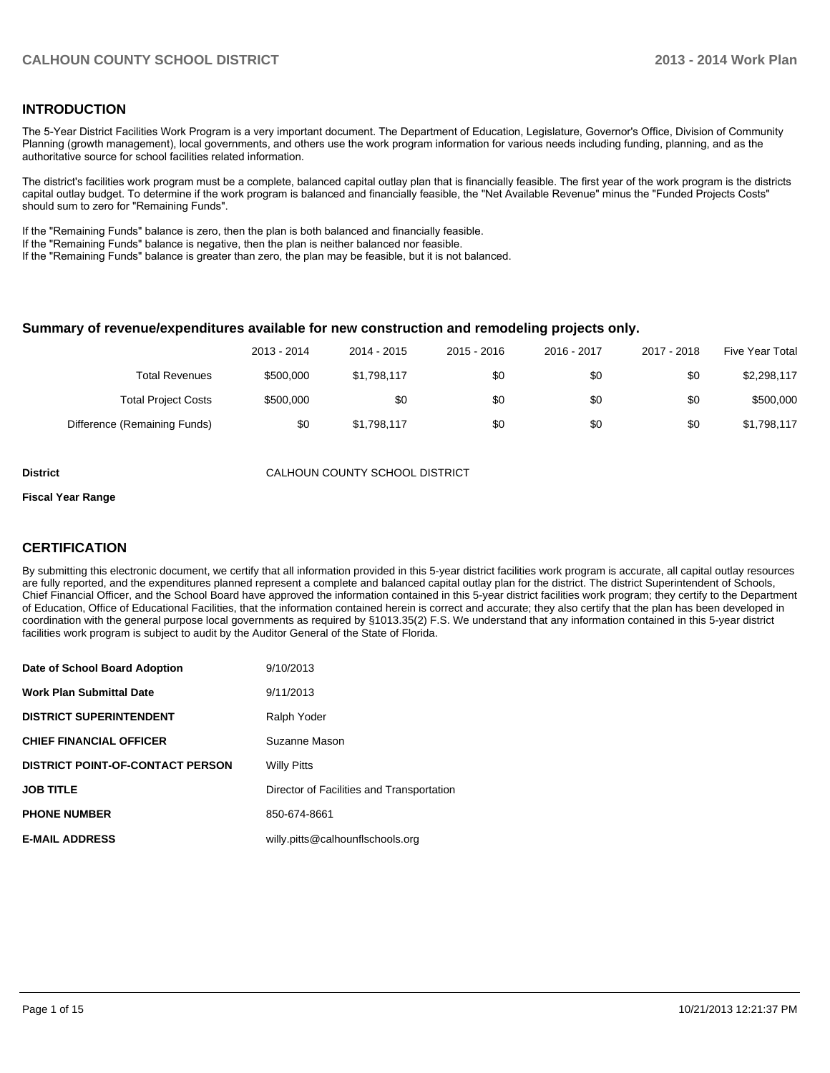### **INTRODUCTION**

The 5-Year District Facilities Work Program is a very important document. The Department of Education, Legislature, Governor's Office, Division of Community Planning (growth management), local governments, and others use the work program information for various needs including funding, planning, and as the authoritative source for school facilities related information.

The district's facilities work program must be a complete, balanced capital outlay plan that is financially feasible. The first year of the work program is the districts capital outlay budget. To determine if the work program is balanced and financially feasible, the "Net Available Revenue" minus the "Funded Projects Costs" should sum to zero for "Remaining Funds".

If the "Remaining Funds" balance is zero, then the plan is both balanced and financially feasible.

If the "Remaining Funds" balance is negative, then the plan is neither balanced nor feasible.

If the "Remaining Funds" balance is greater than zero, the plan may be feasible, but it is not balanced.

#### **Summary of revenue/expenditures available for new construction and remodeling projects only.**

| Five Year Total | 2017 - 2018 | 2016 - 2017 | 2015 - 2016 | 2014 - 2015 | 2013 - 2014 |                              |
|-----------------|-------------|-------------|-------------|-------------|-------------|------------------------------|
| \$2,298,117     | \$0         | \$0         | \$0         | \$1,798,117 | \$500,000   | <b>Total Revenues</b>        |
| \$500,000       | \$0         | \$0         | \$0         | \$0         | \$500,000   | <b>Total Project Costs</b>   |
| \$1,798,117     | \$0         | \$0         | \$0         | \$1,798,117 | \$0         | Difference (Remaining Funds) |

**District** CALHOUN COUNTY SCHOOL DISTRICT

#### **Fiscal Year Range**

### **CERTIFICATION**

By submitting this electronic document, we certify that all information provided in this 5-year district facilities work program is accurate, all capital outlay resources are fully reported, and the expenditures planned represent a complete and balanced capital outlay plan for the district. The district Superintendent of Schools, Chief Financial Officer, and the School Board have approved the information contained in this 5-year district facilities work program; they certify to the Department of Education, Office of Educational Facilities, that the information contained herein is correct and accurate; they also certify that the plan has been developed in coordination with the general purpose local governments as required by §1013.35(2) F.S. We understand that any information contained in this 5-year district facilities work program is subject to audit by the Auditor General of the State of Florida.

| Date of School Board Adoption           | 9/10/2013                                 |
|-----------------------------------------|-------------------------------------------|
| <b>Work Plan Submittal Date</b>         | 9/11/2013                                 |
| <b>DISTRICT SUPERINTENDENT</b>          | Ralph Yoder                               |
| <b>CHIEF FINANCIAL OFFICER</b>          | Suzanne Mason                             |
| <b>DISTRICT POINT-OF-CONTACT PERSON</b> | <b>Willy Pitts</b>                        |
| <b>JOB TITLE</b>                        | Director of Facilities and Transportation |
| <b>PHONE NUMBER</b>                     | 850-674-8661                              |
| <b>E-MAIL ADDRESS</b>                   | willy.pitts@calhounflschools.org          |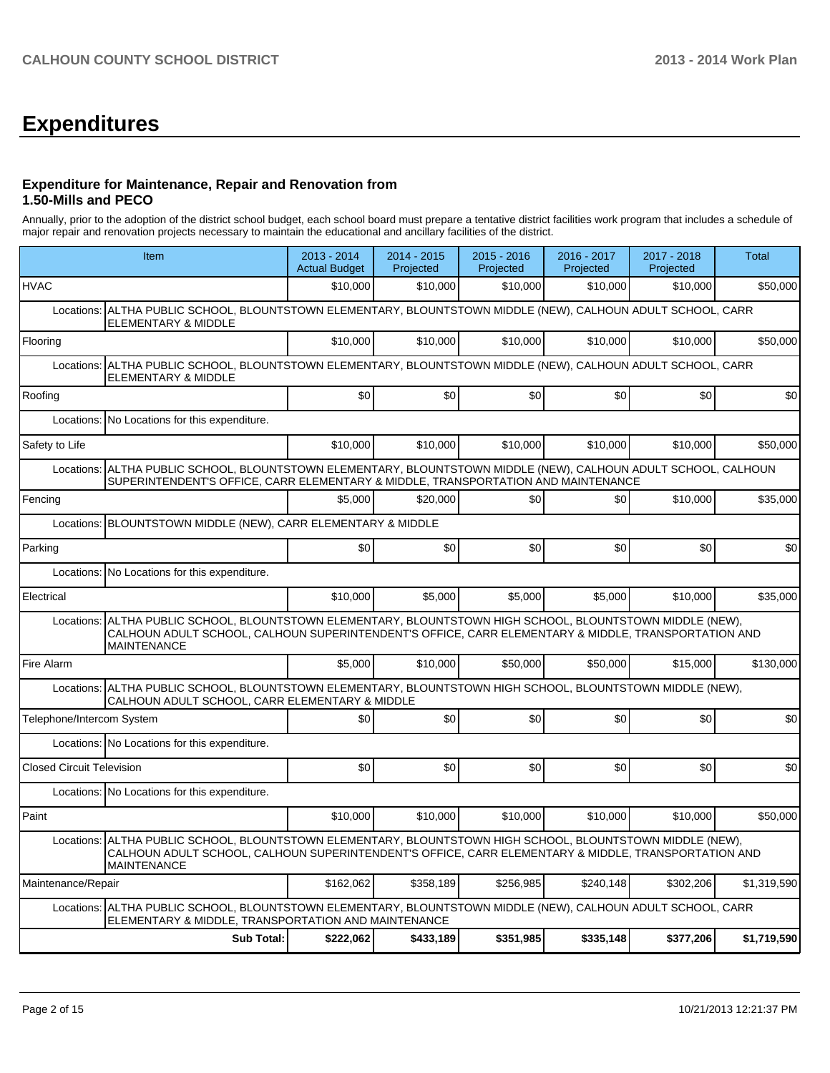# **Expenditures**

### **Expenditure for Maintenance, Repair and Renovation from 1.50-Mills and PECO**

Annually, prior to the adoption of the district school budget, each school board must prepare a tentative district facilities work program that includes a schedule of major repair and renovation projects necessary to maintain the educational and ancillary facilities of the district.

| Item                                                                                                                                                                                                                                       | 2013 - 2014<br><b>Actual Budget</b> | 2014 - 2015<br>Projected | $2015 - 2016$<br>Projected | 2016 - 2017<br>Projected | 2017 - 2018<br>Projected | <b>Total</b> |  |  |  |
|--------------------------------------------------------------------------------------------------------------------------------------------------------------------------------------------------------------------------------------------|-------------------------------------|--------------------------|----------------------------|--------------------------|--------------------------|--------------|--|--|--|
| <b>HVAC</b>                                                                                                                                                                                                                                | \$10,000                            | \$10,000                 | \$10,000                   | \$10,000                 | \$10,000                 | \$50,000     |  |  |  |
| ALTHA PUBLIC SCHOOL, BLOUNTSTOWN ELEMENTARY, BLOUNTSTOWN MIDDLE (NEW), CALHOUN ADULT SCHOOL, CARR<br>Locations:<br><b>ELEMENTARY &amp; MIDDLE</b>                                                                                          |                                     |                          |                            |                          |                          |              |  |  |  |
| Flooring                                                                                                                                                                                                                                   | \$10.000                            | \$10,000                 | \$10,000                   | \$10,000                 | \$10.000                 | \$50,000     |  |  |  |
| Locations: ALTHA PUBLIC SCHOOL, BLOUNTSTOWN ELEMENTARY, BLOUNTSTOWN MIDDLE (NEW), CALHOUN ADULT SCHOOL, CARR<br><b>ELEMENTARY &amp; MIDDLE</b>                                                                                             |                                     |                          |                            |                          |                          |              |  |  |  |
| Roofing                                                                                                                                                                                                                                    | \$0                                 | \$0                      | \$0                        | \$0                      | \$0                      | \$0          |  |  |  |
| Locations: No Locations for this expenditure.                                                                                                                                                                                              |                                     |                          |                            |                          |                          |              |  |  |  |
| Safety to Life                                                                                                                                                                                                                             | \$10.000                            | \$10,000                 | \$10,000                   | \$10,000                 | \$10,000                 | \$50,000     |  |  |  |
| Locations: ALTHA PUBLIC SCHOOL, BLOUNTSTOWN ELEMENTARY, BLOUNTSTOWN MIDDLE (NEW), CALHOUN ADULT SCHOOL, CALHOUN<br>SUPERINTENDENT'S OFFICE, CARR ELEMENTARY & MIDDLE, TRANSPORTATION AND MAINTENANCE                                       |                                     |                          |                            |                          |                          |              |  |  |  |
| Fencing                                                                                                                                                                                                                                    | \$5.000                             | \$20,000                 | \$0                        | \$0                      | \$10,000                 | \$35,000     |  |  |  |
| Locations: BLOUNTSTOWN MIDDLE (NEW), CARR ELEMENTARY & MIDDLE                                                                                                                                                                              |                                     |                          |                            |                          |                          |              |  |  |  |
| Parking                                                                                                                                                                                                                                    | \$0                                 | \$0                      | \$0                        | \$0                      | \$0                      | \$0          |  |  |  |
| Locations: No Locations for this expenditure.                                                                                                                                                                                              |                                     |                          |                            |                          |                          |              |  |  |  |
| Electrical                                                                                                                                                                                                                                 | \$10,000                            | \$5,000                  | \$5,000                    | \$5,000                  | \$10,000                 | \$35,000     |  |  |  |
| ALTHA PUBLIC SCHOOL, BLOUNTSTOWN ELEMENTARY, BLOUNTSTOWN HIGH SCHOOL, BLOUNTSTOWN MIDDLE (NEW),<br>Locations:<br>CALHOUN ADULT SCHOOL, CALHOUN SUPERINTENDENT'S OFFICE, CARR ELEMENTARY & MIDDLE, TRANSPORTATION AND<br><b>MAINTENANCE</b> |                                     |                          |                            |                          |                          |              |  |  |  |
| Fire Alarm                                                                                                                                                                                                                                 | \$5.000                             | \$10,000                 | \$50,000                   | \$50,000                 | \$15,000                 | \$130,000    |  |  |  |
| Locations: ALTHA PUBLIC SCHOOL, BLOUNTSTOWN ELEMENTARY, BLOUNTSTOWN HIGH SCHOOL, BLOUNTSTOWN MIDDLE (NEW),<br>CALHOUN ADULT SCHOOL, CARR ELEMENTARY & MIDDLE                                                                               |                                     |                          |                            |                          |                          |              |  |  |  |
| Telephone/Intercom System                                                                                                                                                                                                                  | \$0                                 | \$0                      | \$0                        | \$0                      | \$0                      | \$0          |  |  |  |
| Locations: No Locations for this expenditure.                                                                                                                                                                                              |                                     |                          |                            |                          |                          |              |  |  |  |
| <b>Closed Circuit Television</b>                                                                                                                                                                                                           | \$0                                 | \$0                      | \$0                        | \$0                      | \$0                      | \$0          |  |  |  |
| Locations: No Locations for this expenditure.                                                                                                                                                                                              |                                     |                          |                            |                          |                          |              |  |  |  |
| Paint                                                                                                                                                                                                                                      | \$10,000                            | \$10,000                 | \$10,000                   | \$10,000                 | \$10,000                 | \$50,000     |  |  |  |
| ALTHA PUBLIC SCHOOL, BLOUNTSTOWN ELEMENTARY, BLOUNTSTOWN HIGH SCHOOL, BLOUNTSTOWN MIDDLE (NEW),<br>Locations:<br>CALHOUN ADULT SCHOOL, CALHOUN SUPERINTENDENT'S OFFICE, CARR ELEMENTARY & MIDDLE, TRANSPORTATION AND<br><b>MAINTENANCE</b> |                                     |                          |                            |                          |                          |              |  |  |  |
| Maintenance/Repair                                                                                                                                                                                                                         | \$162,062                           | \$358.189                | \$256,985                  | \$240.148                | \$302,206                | \$1,319,590  |  |  |  |
| Locations: ALTHA PUBLIC SCHOOL, BLOUNTSTOWN ELEMENTARY, BLOUNTSTOWN MIDDLE (NEW), CALHOUN ADULT SCHOOL, CARR<br>ELEMENTARY & MIDDLE, TRANSPORTATION AND MAINTENANCE                                                                        |                                     |                          |                            |                          |                          |              |  |  |  |
| <b>Sub Total:</b>                                                                                                                                                                                                                          | \$222.062                           | \$433.189                | \$351,985                  | \$335,148                | \$377,206                | \$1,719,590  |  |  |  |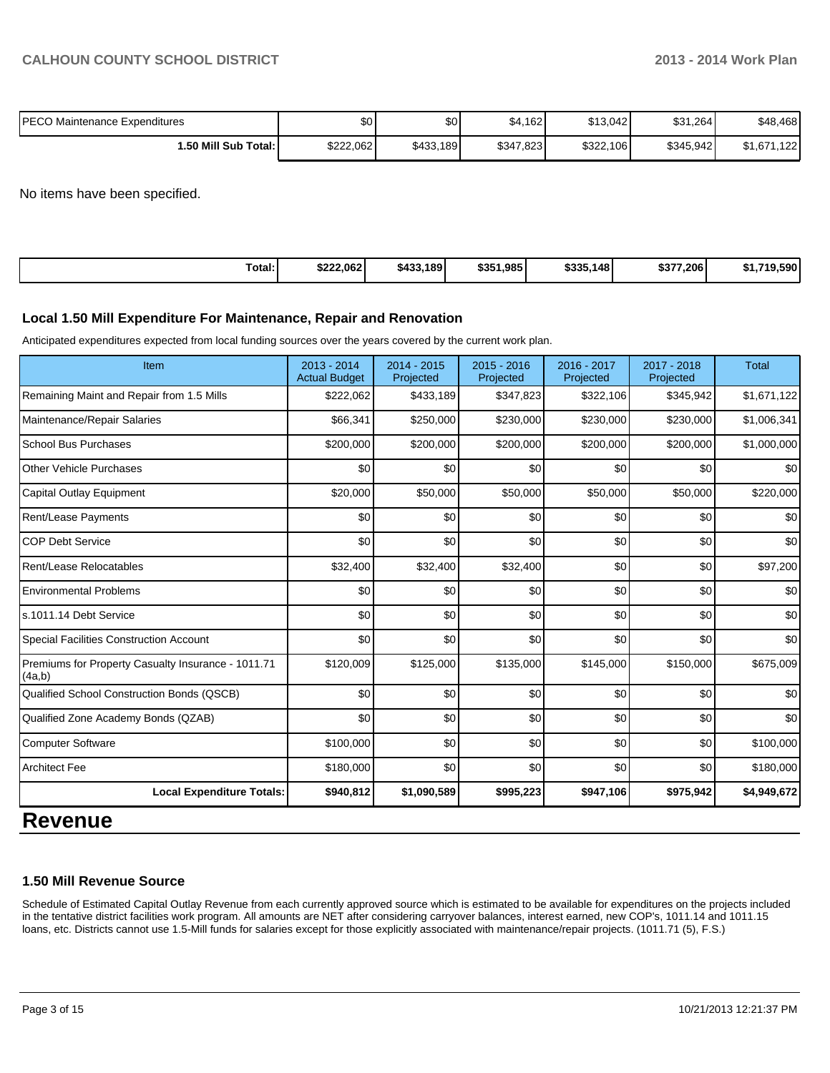| IPECO Maintenance Expenditures | \$0       | \$0       | \$4,162   | \$13,042  | \$31,264  | \$48,468        |
|--------------------------------|-----------|-----------|-----------|-----------|-----------|-----------------|
| 1.50 Mill Sub Total: İ         | \$222.062 | \$433,189 | \$347,823 | \$322,106 | \$345.942 | .122<br>\$1.671 |

No items have been specified.

| Total: | \$222.062 | \$433,189 | \$351,985 | \$335,148 | \$377,206 | <b>EQO</b><br><b>CA 74C</b><br>טפכ פו |
|--------|-----------|-----------|-----------|-----------|-----------|---------------------------------------|
|--------|-----------|-----------|-----------|-----------|-----------|---------------------------------------|

### **Local 1.50 Mill Expenditure For Maintenance, Repair and Renovation**

Anticipated expenditures expected from local funding sources over the years covered by the current work plan.

| Item                                                         | $2013 - 2014$<br><b>Actual Budget</b> | $2014 - 2015$<br>Projected | $2015 - 2016$<br>Projected | 2016 - 2017<br>Projected | 2017 - 2018<br>Projected | <b>Total</b> |
|--------------------------------------------------------------|---------------------------------------|----------------------------|----------------------------|--------------------------|--------------------------|--------------|
| Remaining Maint and Repair from 1.5 Mills                    | \$222,062                             | \$433,189                  | \$347,823                  | \$322,106                | \$345,942                | \$1,671,122  |
| Maintenance/Repair Salaries                                  | \$66,341                              | \$250,000                  | \$230,000                  | \$230,000                | \$230,000                | \$1,006,341  |
| <b>School Bus Purchases</b>                                  | \$200,000                             | \$200,000                  | \$200,000                  | \$200,000                | \$200,000                | \$1,000,000  |
| <b>Other Vehicle Purchases</b>                               | \$0                                   | \$0                        | \$0                        | \$0                      | \$0                      | \$0          |
| Capital Outlay Equipment                                     | \$20,000                              | \$50,000                   | \$50,000                   | \$50,000                 | \$50,000                 | \$220,000    |
| Rent/Lease Payments                                          | \$0                                   | \$0                        | \$0                        | \$0                      | \$0                      | \$0          |
| <b>COP Debt Service</b>                                      | \$0                                   | \$0                        | \$0                        | \$0                      | \$0                      | \$0          |
| Rent/Lease Relocatables                                      | \$32,400                              | \$32,400                   | \$32,400                   | \$0                      | \$0                      | \$97,200     |
| <b>Environmental Problems</b>                                | \$0                                   | \$0                        | \$0                        | \$0                      | \$0                      | \$0          |
| s.1011.14 Debt Service                                       | \$0                                   | \$0                        | \$0                        | \$0                      | \$0                      | \$0          |
| <b>Special Facilities Construction Account</b>               | \$0                                   | \$0                        | \$0                        | \$0                      | \$0                      | \$0          |
| Premiums for Property Casualty Insurance - 1011.71<br>(4a,b) | \$120,009                             | \$125,000                  | \$135,000                  | \$145,000                | \$150,000                | \$675,009    |
| Qualified School Construction Bonds (QSCB)                   | \$0                                   | \$0                        | \$0                        | \$0                      | \$0                      | \$0          |
| Qualified Zone Academy Bonds (QZAB)                          | $\Omega$                              | \$0                        | \$0                        | \$0                      | \$0                      | \$0          |
| <b>Computer Software</b>                                     | \$100,000                             | \$0                        | \$0                        | \$0                      | \$0                      | \$100,000    |
| <b>Architect Fee</b>                                         | \$180,000                             | \$0                        | \$0                        | \$0                      | \$0                      | \$180,000    |
| <b>Local Expenditure Totals:</b>                             | \$940,812                             | \$1,090,589                | \$995,223                  | \$947,106                | \$975,942                | \$4,949,672  |

# **Revenue**

### **1.50 Mill Revenue Source**

Schedule of Estimated Capital Outlay Revenue from each currently approved source which is estimated to be available for expenditures on the projects included in the tentative district facilities work program. All amounts are NET after considering carryover balances, interest earned, new COP's, 1011.14 and 1011.15 loans, etc. Districts cannot use 1.5-Mill funds for salaries except for those explicitly associated with maintenance/repair projects. (1011.71 (5), F.S.)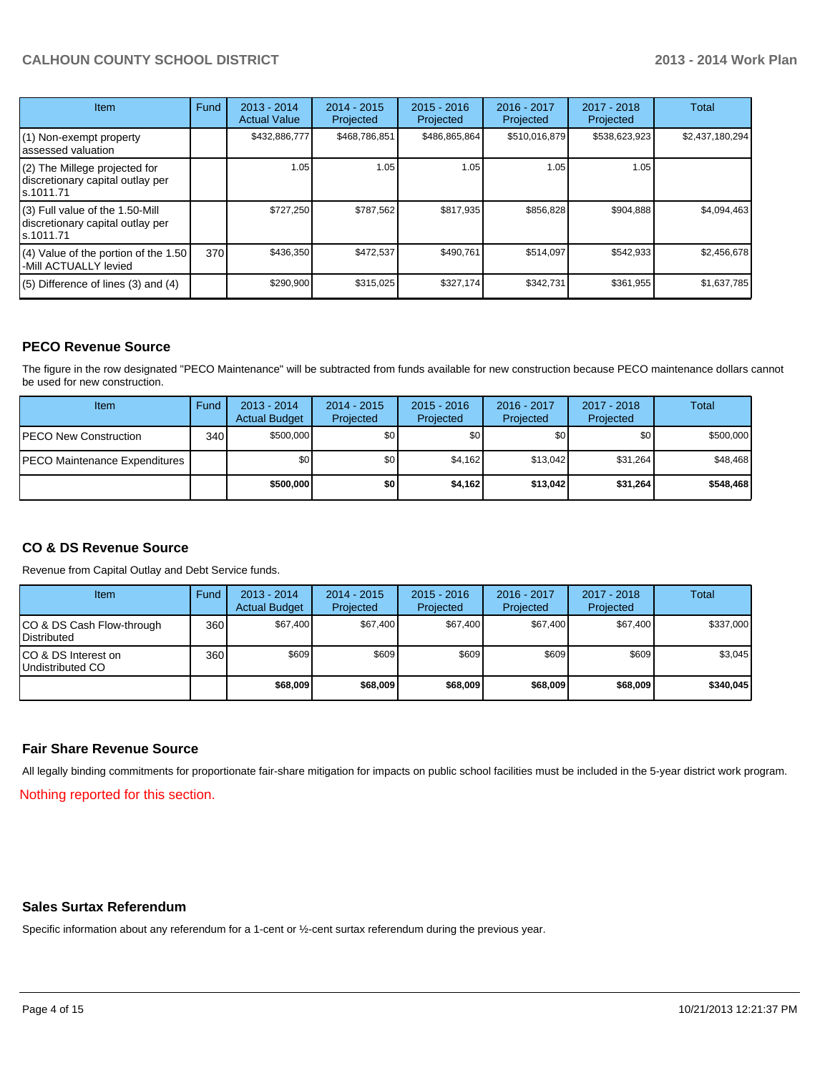## **CALHOUN COUNTY SCHOOL DISTRICT 2013 - 2014 Work Plan**

| <b>Item</b>                                                                         | Fund | $2013 - 2014$<br><b>Actual Value</b> | $2014 - 2015$<br>Projected | $2015 - 2016$<br>Projected | $2016 - 2017$<br>Projected | $2017 - 2018$<br>Projected | Total           |
|-------------------------------------------------------------------------------------|------|--------------------------------------|----------------------------|----------------------------|----------------------------|----------------------------|-----------------|
| (1) Non-exempt property<br>lassessed valuation                                      |      | \$432,886,777                        | \$468,786,851              | \$486,865,864              | \$510,016,879              | \$538,623,923              | \$2,437,180,294 |
| (2) The Millege projected for<br>discretionary capital outlay per<br>ls.1011.71     |      | 1.05                                 | 1.05                       | 1.05                       | 1.05                       | 1.05                       |                 |
| $(3)$ Full value of the 1.50-Mill<br>discretionary capital outlay per<br>ls.1011.71 |      | \$727.250                            | \$787,562                  | \$817.935                  | \$856,828                  | \$904,888                  | \$4,094,463     |
| (4) Value of the portion of the 1.50<br>-Mill ACTUALLY levied                       | 370  | \$436,350                            | \$472,537                  | \$490,761                  | \$514,097                  | \$542,933                  | \$2,456,678     |
| $(5)$ Difference of lines (3) and (4)                                               |      | \$290,900                            | \$315,025                  | \$327,174                  | \$342,731                  | \$361,955                  | \$1,637,785     |

## **PECO Revenue Source**

The figure in the row designated "PECO Maintenance" will be subtracted from funds available for new construction because PECO maintenance dollars cannot be used for new construction.

| Item                                  | Fund | $2013 - 2014$<br><b>Actual Budget</b> | $2014 - 2015$<br>Projected | $2015 - 2016$<br>Projected | 2016 - 2017<br>Projected | 2017 - 2018<br>Projected | Total     |
|---------------------------------------|------|---------------------------------------|----------------------------|----------------------------|--------------------------|--------------------------|-----------|
| <b>IPECO New Construction</b>         | 340  | \$500,000                             | \$0                        | \$0                        | \$0 <sub>1</sub>         | \$0                      | \$500,000 |
| <b>IPECO Maintenance Expenditures</b> |      | \$0                                   | \$0 I                      | \$4,162                    | \$13.042                 | \$31,264                 | \$48,468  |
|                                       |      | \$500,000                             | \$0                        | \$4,162                    | \$13,042                 | \$31,264                 | \$548,468 |

## **CO & DS Revenue Source**

Revenue from Capital Outlay and Debt Service funds.

| Item                                              | Fund             | $2013 - 2014$<br><b>Actual Budget</b> | $2014 - 2015$<br>Projected | $2015 - 2016$<br>Projected | $2016 - 2017$<br>Projected | $2017 - 2018$<br>Projected | Total     |
|---------------------------------------------------|------------------|---------------------------------------|----------------------------|----------------------------|----------------------------|----------------------------|-----------|
| ICO & DS Cash Flow-through<br><b>IDistributed</b> | 360              | \$67,400                              | \$67,400                   | \$67,400                   | \$67,400                   | \$67,400                   | \$337,000 |
| ICO & DS Interest on<br>Undistributed CO          | 360 <sup>I</sup> | \$609                                 | \$609                      | \$609                      | \$609                      | \$609                      | \$3,045   |
|                                                   |                  | \$68,009                              | \$68,009                   | \$68,009                   | \$68,009                   | \$68,009                   | \$340,045 |

### **Fair Share Revenue Source**

All legally binding commitments for proportionate fair-share mitigation for impacts on public school facilities must be included in the 5-year district work program.

Nothing reported for this section.

### **Sales Surtax Referendum**

Specific information about any referendum for a 1-cent or ½-cent surtax referendum during the previous year.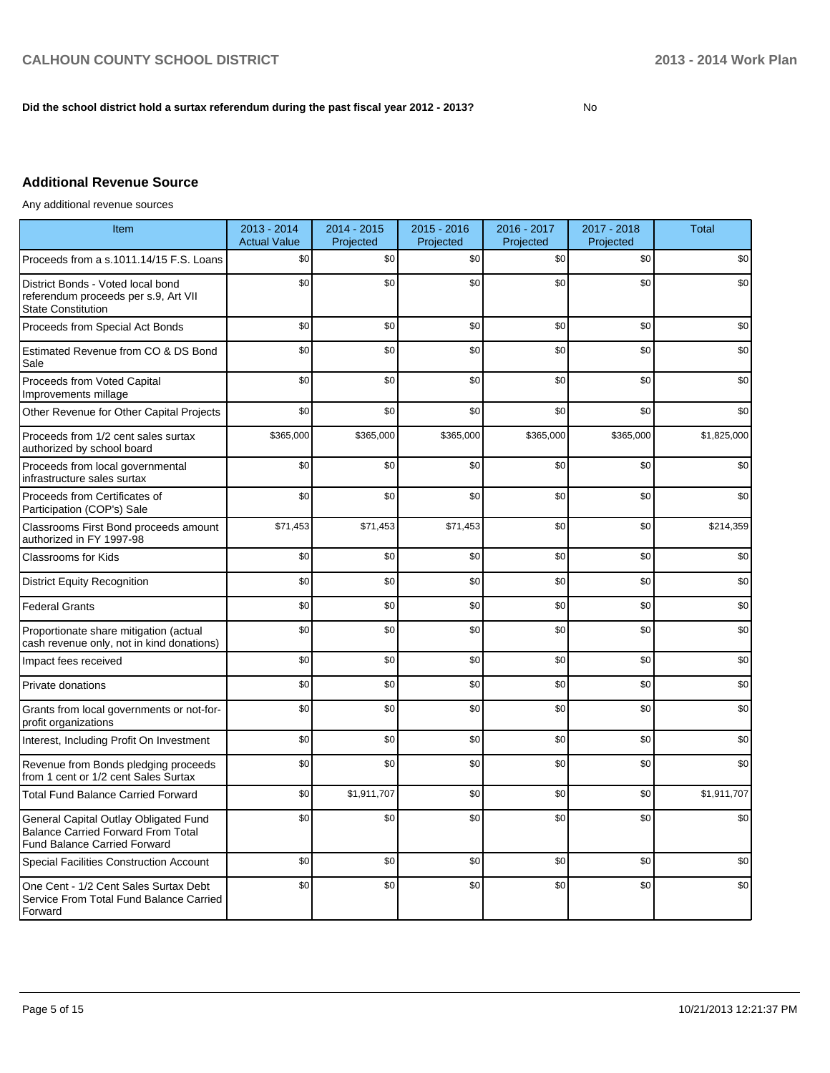### **Did the school district hold a surtax referendum during the past fiscal year 2012 - 2013?**

No

# **Additional Revenue Source**

Any additional revenue sources

| Item                                                                                                                      | 2013 - 2014<br><b>Actual Value</b> | 2014 - 2015<br>Projected | $2015 - 2016$<br>Projected | 2016 - 2017<br>Projected | 2017 - 2018<br>Projected | <b>Total</b> |
|---------------------------------------------------------------------------------------------------------------------------|------------------------------------|--------------------------|----------------------------|--------------------------|--------------------------|--------------|
| Proceeds from a s.1011.14/15 F.S. Loans                                                                                   | \$0                                | \$0                      | \$0                        | \$0                      | \$0                      | \$0          |
| District Bonds - Voted local bond<br>referendum proceeds per s.9, Art VII<br><b>State Constitution</b>                    | \$0                                | \$0                      | \$0                        | \$0                      | \$0                      | \$0          |
| Proceeds from Special Act Bonds                                                                                           | \$0                                | \$0                      | \$0                        | \$0                      | \$0                      | \$0          |
| Estimated Revenue from CO & DS Bond<br>Sale                                                                               | \$0                                | \$0                      | \$0                        | \$0                      | \$0                      | \$0          |
| Proceeds from Voted Capital<br>Improvements millage                                                                       | \$0                                | \$0                      | \$0                        | \$0                      | \$0                      | \$0          |
| Other Revenue for Other Capital Projects                                                                                  | \$0                                | \$0                      | \$0                        | \$0                      | \$0                      | \$0          |
| Proceeds from 1/2 cent sales surtax<br>authorized by school board                                                         | \$365,000                          | \$365,000                | \$365,000                  | \$365,000                | \$365,000                | \$1,825,000  |
| Proceeds from local governmental<br>infrastructure sales surtax                                                           | \$0                                | \$0                      | \$0                        | \$0                      | \$0                      | \$0          |
| Proceeds from Certificates of<br>Participation (COP's) Sale                                                               | \$0                                | \$0                      | \$0                        | \$0                      | \$0                      | \$0          |
| Classrooms First Bond proceeds amount<br>authorized in FY 1997-98                                                         | \$71,453                           | \$71,453                 | \$71,453                   | \$0                      | \$0                      | \$214,359    |
| <b>Classrooms for Kids</b>                                                                                                | \$0                                | \$0                      | \$0                        | \$0                      | \$0                      | \$0          |
| <b>District Equity Recognition</b>                                                                                        | \$0                                | \$0                      | \$0                        | \$0                      | \$0                      | \$0          |
| <b>Federal Grants</b>                                                                                                     | \$0                                | \$0                      | \$0                        | \$0                      | \$0                      | \$0          |
| Proportionate share mitigation (actual<br>cash revenue only, not in kind donations)                                       | \$0                                | \$0                      | \$0                        | \$0                      | \$0                      | \$0          |
| Impact fees received                                                                                                      | \$0                                | \$0                      | \$0                        | \$0                      | \$0                      | \$0          |
| Private donations                                                                                                         | \$0                                | \$0                      | \$0                        | \$0                      | \$0                      | \$0          |
| Grants from local governments or not-for-<br>profit organizations                                                         | \$0                                | \$0                      | \$0                        | \$0                      | \$0                      | \$0          |
| Interest, Including Profit On Investment                                                                                  | \$0                                | \$0                      | \$0                        | \$0                      | \$0                      | \$0          |
| Revenue from Bonds pledging proceeds<br>from 1 cent or 1/2 cent Sales Surtax                                              | \$0                                | \$0                      | \$0                        | \$0                      | \$0                      | \$0          |
| <b>Total Fund Balance Carried Forward</b>                                                                                 | \$0                                | \$1,911,707              | \$0                        | \$0                      | \$0                      | \$1,911,707  |
| General Capital Outlay Obligated Fund<br><b>Balance Carried Forward From Total</b><br><b>Fund Balance Carried Forward</b> | \$0                                | \$0                      | \$0                        | \$0                      | \$0                      | \$0          |
| <b>Special Facilities Construction Account</b>                                                                            | \$0                                | \$0                      | \$0                        | \$0                      | \$0                      | \$0          |
| One Cent - 1/2 Cent Sales Surtax Debt<br>Service From Total Fund Balance Carried<br>Forward                               | \$0                                | \$0                      | \$0                        | \$0                      | \$0                      | \$0          |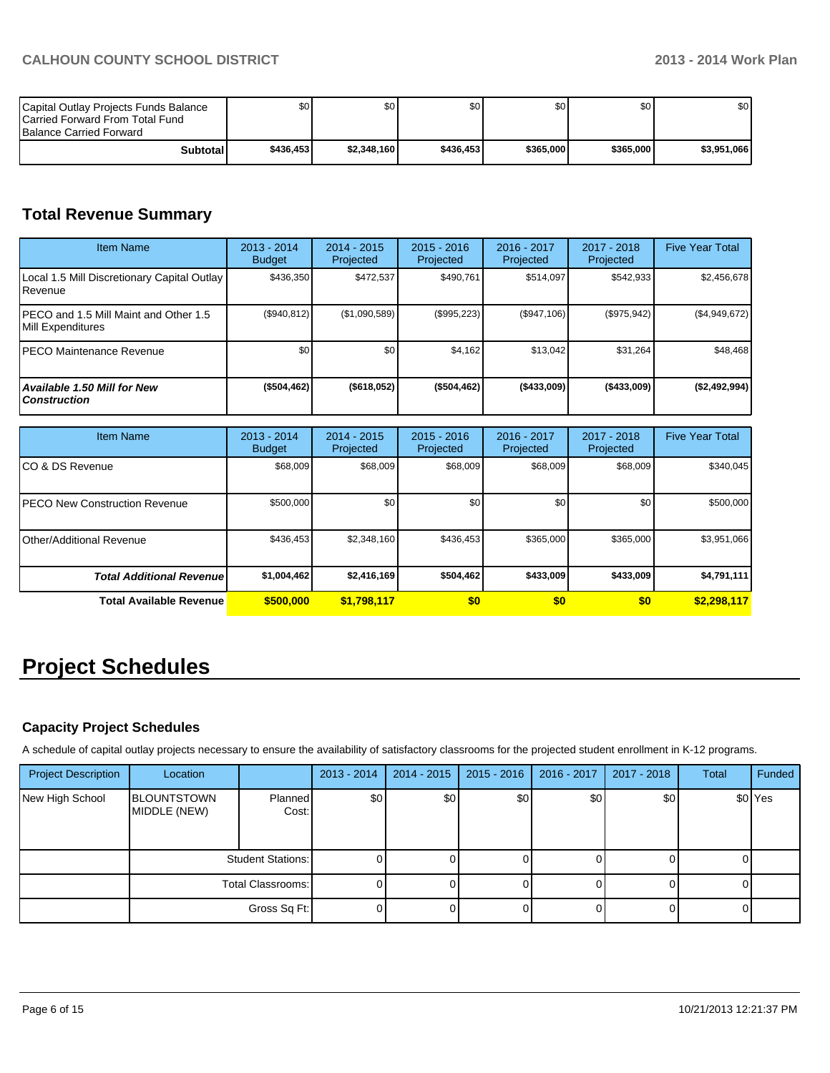| Capital Outlay Projects Funds Balance<br><b>ICarried Forward From Total Fund</b><br><b>Balance Carried Forward</b> | \$O I     | \$0 <sub>1</sub> | \$0       | ا 30      | \$0 <sub>1</sub> | \$0         |
|--------------------------------------------------------------------------------------------------------------------|-----------|------------------|-----------|-----------|------------------|-------------|
| Subtotal                                                                                                           | \$436,453 | \$2.348.160      | \$436,453 | \$365,000 | \$365,000        | \$3,951,066 |

# **Total Revenue Summary**

| <b>Item Name</b>                                            | 2013 - 2014<br><b>Budget</b> | $2014 - 2015$<br>Projected | $2015 - 2016$<br>Projected | $2016 - 2017$<br>Projected | $2017 - 2018$<br>Projected | <b>Five Year Total</b> |
|-------------------------------------------------------------|------------------------------|----------------------------|----------------------------|----------------------------|----------------------------|------------------------|
| Local 1.5 Mill Discretionary Capital Outlay<br>Revenue      | \$436.350                    | \$472.537                  | \$490.761                  | \$514.097                  | \$542,933                  | \$2,456,678            |
| IPECO and 1.5 Mill Maint and Other 1.5<br>Mill Expenditures | (\$940, 812)                 | (\$1,090,589)              | (\$995,223)                | (S947,106)                 | (\$975,942)                | (\$4,949,672)          |
| IPECO Maintenance Revenue                                   | \$0                          | \$0                        | \$4,162                    | \$13.042                   | \$31,264                   | \$48,468               |
| <b>Available 1.50 Mill for New</b><br><b>Construction</b>   | ( \$504, 462]                | (\$618,052)                | (\$504,462)                | ( \$433,009]               | ( \$433,009]               | (\$2,492,994)          |

| <b>Item Name</b>                      | 2013 - 2014<br><b>Budget</b> | $2014 - 2015$<br>Projected | $2015 - 2016$<br>Projected | 2016 - 2017<br>Projected | 2017 - 2018<br>Projected | <b>Five Year Total</b> |
|---------------------------------------|------------------------------|----------------------------|----------------------------|--------------------------|--------------------------|------------------------|
| ICO & DS Revenue                      | \$68,009                     | \$68,009                   | \$68,009                   | \$68,009                 | \$68,009                 | \$340,045              |
| <b>IPECO New Construction Revenue</b> | \$500,000                    | \$0                        | \$0                        | \$0                      | \$0                      | \$500,000              |
| <b>IOther/Additional Revenue</b>      | \$436,453                    | \$2,348,160                | \$436.453                  | \$365,000                | \$365,000                | \$3,951,066            |
| <b>Total Additional Revenuel</b>      | \$1,004,462                  | \$2,416,169                | \$504,462                  | \$433,009                | \$433,009                | \$4,791,111            |
| <b>Total Available Revenue</b>        | \$500,000                    | \$1,798,117                | \$0                        | \$0                      | \$0                      | \$2,298,117            |

# **Project Schedules**

# **Capacity Project Schedules**

A schedule of capital outlay projects necessary to ensure the availability of satisfactory classrooms for the projected student enrollment in K-12 programs.

| <b>Project Description</b> | Location                           |                  | $2013 - 2014$ | 2014 - 2015      | $2015 - 2016$ | 2016 - 2017 | 2017 - 2018 | Total | Funded             |
|----------------------------|------------------------------------|------------------|---------------|------------------|---------------|-------------|-------------|-------|--------------------|
| New High School            | <b>BLOUNTSTOWN</b><br>MIDDLE (NEW) | Planned<br>Cost: | \$0           | \$0 <sub>1</sub> | \$0           | \$0         | \$0         |       | \$0 <sup>Yes</sup> |
|                            | Student Stations:                  |                  |               |                  |               |             |             |       |                    |
|                            | Total Classrooms:                  |                  |               |                  |               |             |             |       |                    |
|                            |                                    | Gross Sq Ft:     |               |                  |               |             |             |       |                    |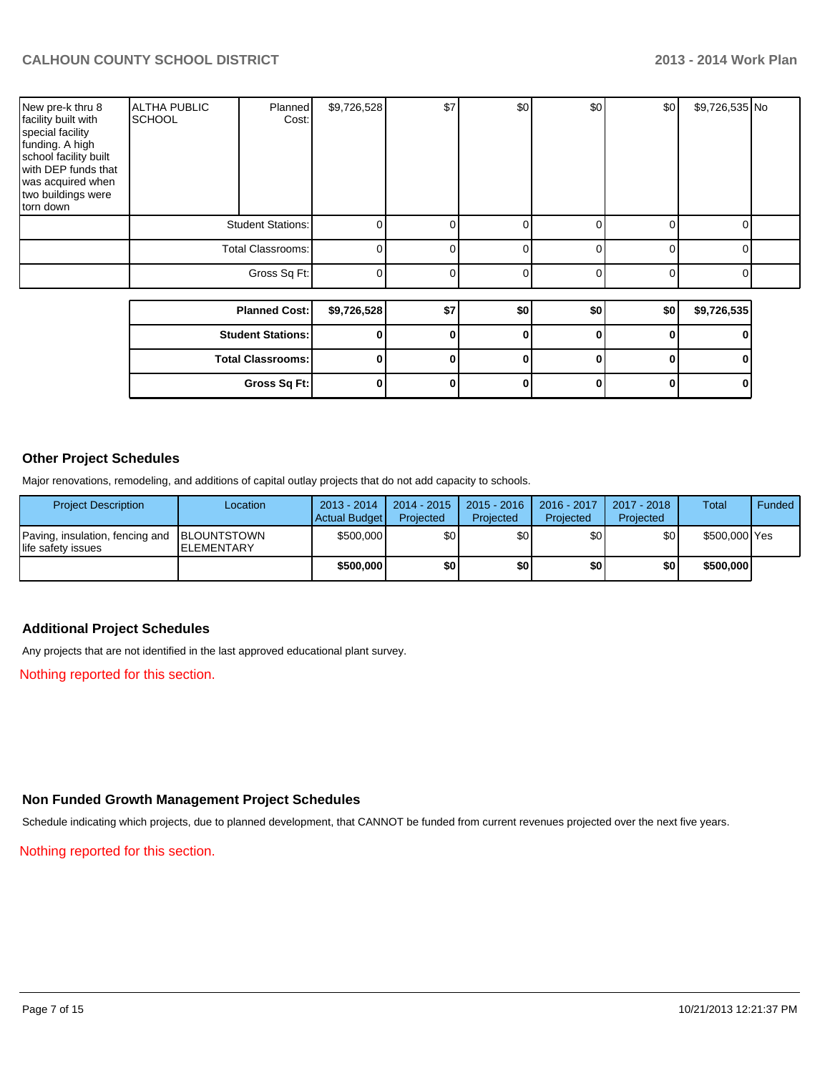| New pre-k thru 8<br>facility built with<br>special facility<br>funding. A high<br>school facility built<br>with DEP funds that<br>was acquired when<br>two buildings were<br>torn down | <b>ALTHA PUBLIC</b><br><b>SCHOOL</b> | Planned<br>Cost:         | \$9,726,528 | \$7          | \$0          | \$0          | \$0 | \$9,726,535 No |  |
|----------------------------------------------------------------------------------------------------------------------------------------------------------------------------------------|--------------------------------------|--------------------------|-------------|--------------|--------------|--------------|-----|----------------|--|
|                                                                                                                                                                                        | <b>Student Stations:</b>             |                          | 0           | $\Omega$     | 0            | 0            | ∩   | O              |  |
|                                                                                                                                                                                        | <b>Total Classrooms:</b>             | 0                        | $\Omega$    | 0            | 0            | ∩            | U   |                |  |
|                                                                                                                                                                                        |                                      | Gross Sq Ft:             | 0           | $\Omega$     | 0            | $\Omega$     | ŋ   | O              |  |
|                                                                                                                                                                                        |                                      |                          |             |              |              |              |     |                |  |
|                                                                                                                                                                                        |                                      | <b>Planned Cost:</b>     | \$9,726,528 | \$7          | \$0          | \$0          | \$0 | \$9,726,535    |  |
|                                                                                                                                                                                        |                                      | <b>Student Stations:</b> | 0           | 0            | 0            | 0            |     |                |  |
|                                                                                                                                                                                        |                                      | <b>Total Classrooms:</b> | 0           | 0            | $\bf{0}$     | U            |     |                |  |
|                                                                                                                                                                                        |                                      | Gross Sq Ft:             | 0           | $\mathbf{0}$ | $\mathbf{0}$ | $\mathbf{0}$ | 0   | 0              |  |

## **Other Project Schedules**

Major renovations, remodeling, and additions of capital outlay projects that do not add capacity to schools.

| <b>Project Description</b>                                        | Location           | 2013 - 2014<br>Actual Budget | 2014 - 2015<br>Projected | $2015 - 2016$<br>Projected | 2016 - 2017<br>Projected | 2017 - 2018<br>Projected | Total         | Funded |
|-------------------------------------------------------------------|--------------------|------------------------------|--------------------------|----------------------------|--------------------------|--------------------------|---------------|--------|
| Paving, insulation, fencing and BLOUNTSTOWN<br>life safety issues | <b>IELEMENTARY</b> | \$500,000                    | \$0                      | \$0                        | \$0                      | \$0                      | \$500,000 Yes |        |
|                                                                   |                    | \$500,000                    | \$O                      | \$0                        | \$0                      | \$0                      | \$500,000     |        |

### **Additional Project Schedules**

Any projects that are not identified in the last approved educational plant survey.

Nothing reported for this section.

# **Non Funded Growth Management Project Schedules**

Schedule indicating which projects, due to planned development, that CANNOT be funded from current revenues projected over the next five years.

Nothing reported for this section.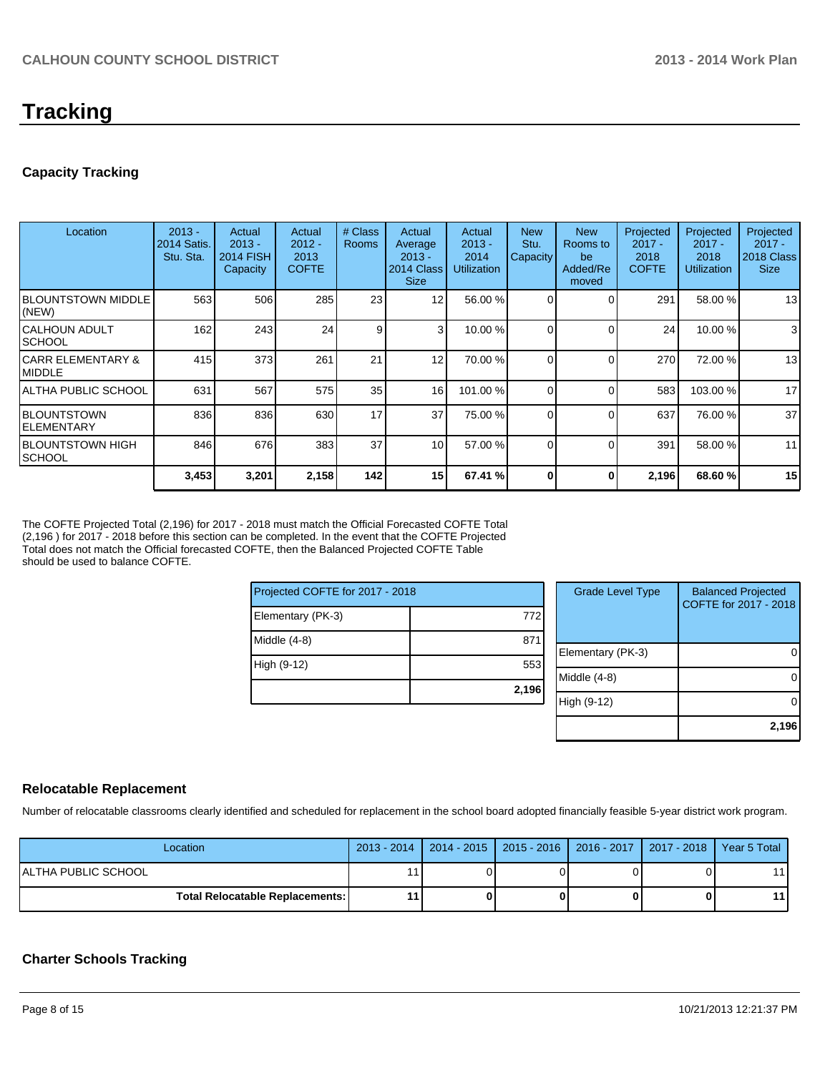# **Tracking**

## **Capacity Tracking**

| Location                            | $2013 -$<br><b>2014 Satis.</b><br>Stu. Sta. | Actual<br>$2013 -$<br><b>2014 FISH</b><br>Capacity | Actual<br>$2012 -$<br>2013<br><b>COFTE</b> | # Class<br><b>Rooms</b> | Actual<br>Average<br>$2013 -$<br>2014 Class<br><b>Size</b> | Actual<br>$2013 -$<br>2014<br><b>Utilization</b> | <b>New</b><br>Stu.<br>Capacity | <b>New</b><br>Rooms to<br>be<br>Added/Re<br>moved | Projected<br>$2017 -$<br>2018<br><b>COFTE</b> | Projected<br>$2017 -$<br>2018<br><b>Utilization</b> | Projected<br>$2017 -$<br>2018 Class<br><b>Size</b> |
|-------------------------------------|---------------------------------------------|----------------------------------------------------|--------------------------------------------|-------------------------|------------------------------------------------------------|--------------------------------------------------|--------------------------------|---------------------------------------------------|-----------------------------------------------|-----------------------------------------------------|----------------------------------------------------|
| <b>IBLOUNTSTOWN MIDDLE</b><br>(NEW) | 563                                         | 506                                                | 285                                        | 23                      | 12                                                         | 56.00 %                                          |                                |                                                   | 291                                           | 58.00 %                                             | 13                                                 |
| ICALHOUN ADULT<br>ISCHOOL           | 162                                         | 243                                                | 24                                         | 9                       | 3                                                          | 10.00 %                                          |                                | $\Omega$                                          | 24                                            | 10.00%                                              | 3                                                  |
| ICARR ELEMENTARY &<br>IMIDDLE       | 415                                         | 373                                                | 261                                        | 21                      | 12                                                         | 70.00 %                                          |                                |                                                   | 270                                           | 72.00 %                                             | 13                                                 |
| IALTHA PUBLIC SCHOOL                | 631                                         | 567                                                | 575                                        | 35                      | 16                                                         | 101.00 %                                         | $\Omega$                       | $\Omega$                                          | 583                                           | 103.00 %                                            | 17                                                 |
| IBLOUNTSTOWN<br>lelementary         | 836                                         | 836                                                | 630                                        | 17                      | 37                                                         | 75.00 %                                          | $\Omega$                       | $\Omega$                                          | 637                                           | 76.00 %                                             | 37                                                 |
| IBLOUNTSTOWN HIGH<br>ISCHOOL        | 846                                         | 676                                                | 383                                        | 37                      | 10 <sup>1</sup>                                            | 57.00 %                                          | $\Omega$                       | $\Omega$                                          | 391                                           | 58.00 %                                             | 11                                                 |
|                                     | 3,453                                       | 3,201                                              | 2,158                                      | 142                     | 15 <sup>1</sup>                                            | 67.41 %                                          |                                |                                                   | 2,196                                         | 68.60%                                              | 15                                                 |

The COFTE Projected Total (2,196) for 2017 - 2018 must match the Official Forecasted COFTE Total (2,196 ) for 2017 - 2018 before this section can be completed. In the event that the COFTE Projected Total does not match the Official forecasted COFTE, then the Balanced Projected COFTE Table should be used to balance COFTE.

| Projected COFTE for 2017 - 2018 |       |
|---------------------------------|-------|
| Elementary (PK-3)               | 772   |
| Middle (4-8)                    | 87    |
| High (9-12)                     | 553   |
|                                 | 2,196 |

| <b>Grade Level Type</b> | <b>Balanced Projected</b><br>COFTE for 2017 - 2018 |
|-------------------------|----------------------------------------------------|
| Elementary (PK-3)       |                                                    |
| Middle $(4-8)$          |                                                    |
| High (9-12)             |                                                    |
|                         | 2,196                                              |

### **Relocatable Replacement**

Number of relocatable classrooms clearly identified and scheduled for replacement in the school board adopted financially feasible 5-year district work program.

| Location                                 |    | 2013 - 2014   2014 - 2015   2015 - 2016   2016 - 2017   2017 - 2018   Year 5 Total |  |    |
|------------------------------------------|----|------------------------------------------------------------------------------------|--|----|
| ALTHA PUBLIC SCHOOL                      |    |                                                                                    |  |    |
| <b>Total Relocatable Replacements: I</b> | 11 |                                                                                    |  | 11 |

### **Charter Schools Tracking**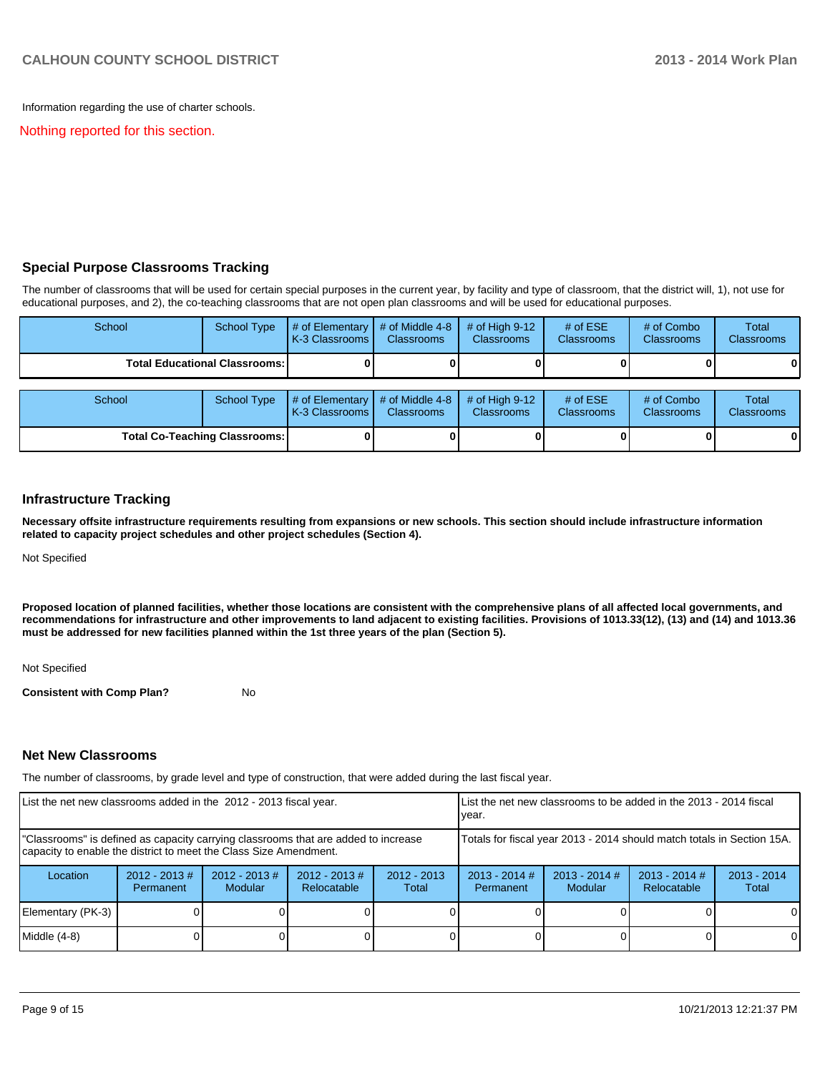Information regarding the use of charter schools.

Nothing reported for this section.

### **Special Purpose Classrooms Tracking**

The number of classrooms that will be used for certain special purposes in the current year, by facility and type of classroom, that the district will, 1), not use for educational purposes, and 2), the co-teaching classrooms that are not open plan classrooms and will be used for educational purposes.

| School | <b>School Type</b>                   | # of Elementary $\vert$ # of Middle 4-8<br>K-3 Classrooms I | <b>Classrooms</b>                    | $#$ of High 9-12<br><b>Classrooms</b> | # of $ESE$<br><b>Classrooms</b> | # of Combo<br><b>Classrooms</b> | Total<br><b>Classrooms</b> |
|--------|--------------------------------------|-------------------------------------------------------------|--------------------------------------|---------------------------------------|---------------------------------|---------------------------------|----------------------------|
|        | <b>Total Educational Classrooms:</b> |                                                             |                                      |                                       |                                 |                                 |                            |
| School | <b>School Type</b>                   | $\#$ of Elementary<br><b>IK-3 Classrooms I</b>              | # of Middle 4-8<br><b>Classrooms</b> | # of High $9-12$<br><b>Classrooms</b> | # of $ESE$<br>Classrooms        | # of Combo<br><b>Classrooms</b> | Total<br>Classrooms        |
|        | <b>Total Co-Teaching Classrooms:</b> |                                                             |                                      |                                       |                                 |                                 |                            |

#### **Infrastructure Tracking**

**Necessary offsite infrastructure requirements resulting from expansions or new schools. This section should include infrastructure information related to capacity project schedules and other project schedules (Section 4).**

Not Specified

**Proposed location of planned facilities, whether those locations are consistent with the comprehensive plans of all affected local governments, and recommendations for infrastructure and other improvements to land adjacent to existing facilities. Provisions of 1013.33(12), (13) and (14) and 1013.36 must be addressed for new facilities planned within the 1st three years of the plan (Section 5).**

Not Specified

**Consistent with Comp Plan?** No

### **Net New Classrooms**

The number of classrooms, by grade level and type of construction, that were added during the last fiscal year.

| List the net new classrooms added in the 2012 - 2013 fiscal year.                                                                                       |                              |                                    | List the net new classrooms to be added in the 2013 - 2014 fiscal<br>lvear. |                        |                                                                        |                            |                                |                        |  |
|---------------------------------------------------------------------------------------------------------------------------------------------------------|------------------------------|------------------------------------|-----------------------------------------------------------------------------|------------------------|------------------------------------------------------------------------|----------------------------|--------------------------------|------------------------|--|
| "Classrooms" is defined as capacity carrying classrooms that are added to increase<br>capacity to enable the district to meet the Class Size Amendment. |                              |                                    |                                                                             |                        | Totals for fiscal year 2013 - 2014 should match totals in Section 15A. |                            |                                |                        |  |
| Location                                                                                                                                                | $2012 - 2013$ #<br>Permanent | $2012 - 2013 \#$<br><b>Modular</b> | $2012 - 2013$ #<br>Relocatable                                              | $2012 - 2013$<br>Total | $2013 - 2014$ #<br>Permanent                                           | $2013 - 2014$ #<br>Modular | $2013 - 2014$ #<br>Relocatable | $2013 - 2014$<br>Total |  |
| Elementary (PK-3)                                                                                                                                       |                              |                                    |                                                                             |                        |                                                                        |                            |                                | $\Omega$               |  |
| Middle (4-8)                                                                                                                                            |                              |                                    |                                                                             |                        |                                                                        |                            |                                | $\Omega$               |  |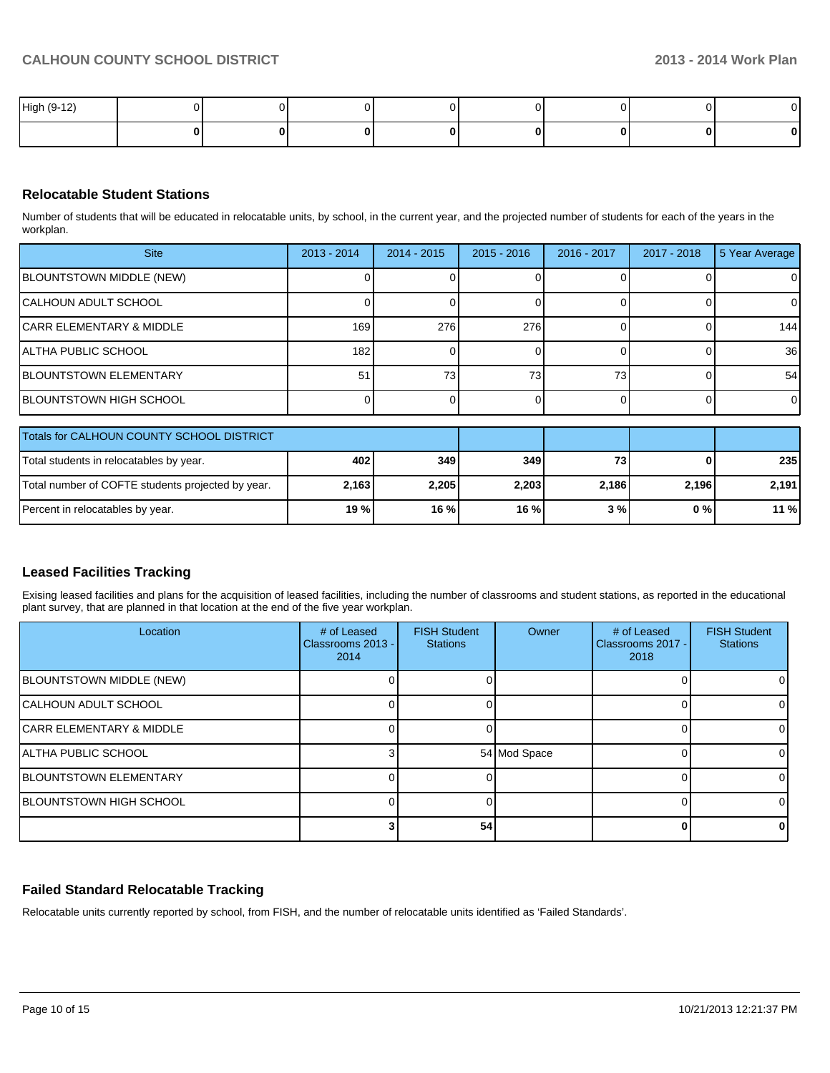| High (9-12) |  |  |  |  |
|-------------|--|--|--|--|
|             |  |  |  |  |

### **Relocatable Student Stations**

Number of students that will be educated in relocatable units, by school, in the current year, and the projected number of students for each of the years in the workplan.

| <b>Site</b>                   | $2013 - 2014$ | $2014 - 2015$   | $2015 - 2016$ | 2016 - 2017 | 2017 - 2018 | 5 Year Average |
|-------------------------------|---------------|-----------------|---------------|-------------|-------------|----------------|
| BLOUNTSTOWN MIDDLE (NEW)      |               |                 |               |             |             | ΟI             |
| CALHOUN ADULT SCHOOL          |               |                 |               |             |             | 0              |
| ICARR ELEMENTARY & MIDDLE     | 169           | 276             | 276           |             |             | 144            |
| IALTHA PUBLIC SCHOOL          | 182           |                 |               |             |             | 36             |
| <b>BLOUNTSTOWN ELEMENTARY</b> | 51            | 73 <sub>1</sub> | 73            | 731         |             | 54             |
| BLOUNTSTOWN HIGH SCHOOL       |               |                 |               |             |             | 0              |
|                               |               |                 |               |             |             |                |

| <b>Totals for CALHOUN COUNTY SCHOOL DISTRICT</b>  |        |       |       |            |       |         |
|---------------------------------------------------|--------|-------|-------|------------|-------|---------|
| Total students in relocatables by year.           | 402 l  | 349   | 349   | <b>731</b> |       | 235     |
| Total number of COFTE students projected by year. | 2.1631 | 2.205 | 2.203 | 2.186      | 2,196 | 2.191   |
| Percent in relocatables by year.                  | 19 % l | 16%   | 16%   | 3 % l      | $0\%$ | $11 \%$ |

## **Leased Facilities Tracking**

Exising leased facilities and plans for the acquisition of leased facilities, including the number of classrooms and student stations, as reported in the educational plant survey, that are planned in that location at the end of the five year workplan.

| Location                            | # of Leased<br>Classrooms 2013 - I<br>2014 | <b>FISH Student</b><br><b>Stations</b> | Owner        | # of Leased<br>Classrooms 2017 -<br>2018 | <b>FISH Student</b><br><b>Stations</b> |
|-------------------------------------|--------------------------------------------|----------------------------------------|--------------|------------------------------------------|----------------------------------------|
| <b>BLOUNTSTOWN MIDDLE (NEW)</b>     |                                            |                                        |              |                                          |                                        |
| ICALHOUN ADULT SCHOOL               |                                            |                                        |              |                                          |                                        |
| <b>CARR ELEMENTARY &amp; MIDDLE</b> |                                            |                                        |              |                                          |                                        |
| <b>ALTHA PUBLIC SCHOOL</b>          |                                            |                                        | 54 Mod Space |                                          |                                        |
| <b>IBLOUNTSTOWN ELEMENTARY</b>      |                                            |                                        |              |                                          |                                        |
| <b>BLOUNTSTOWN HIGH SCHOOL</b>      |                                            |                                        |              |                                          |                                        |
|                                     |                                            | 54                                     |              |                                          |                                        |

## **Failed Standard Relocatable Tracking**

Relocatable units currently reported by school, from FISH, and the number of relocatable units identified as 'Failed Standards'.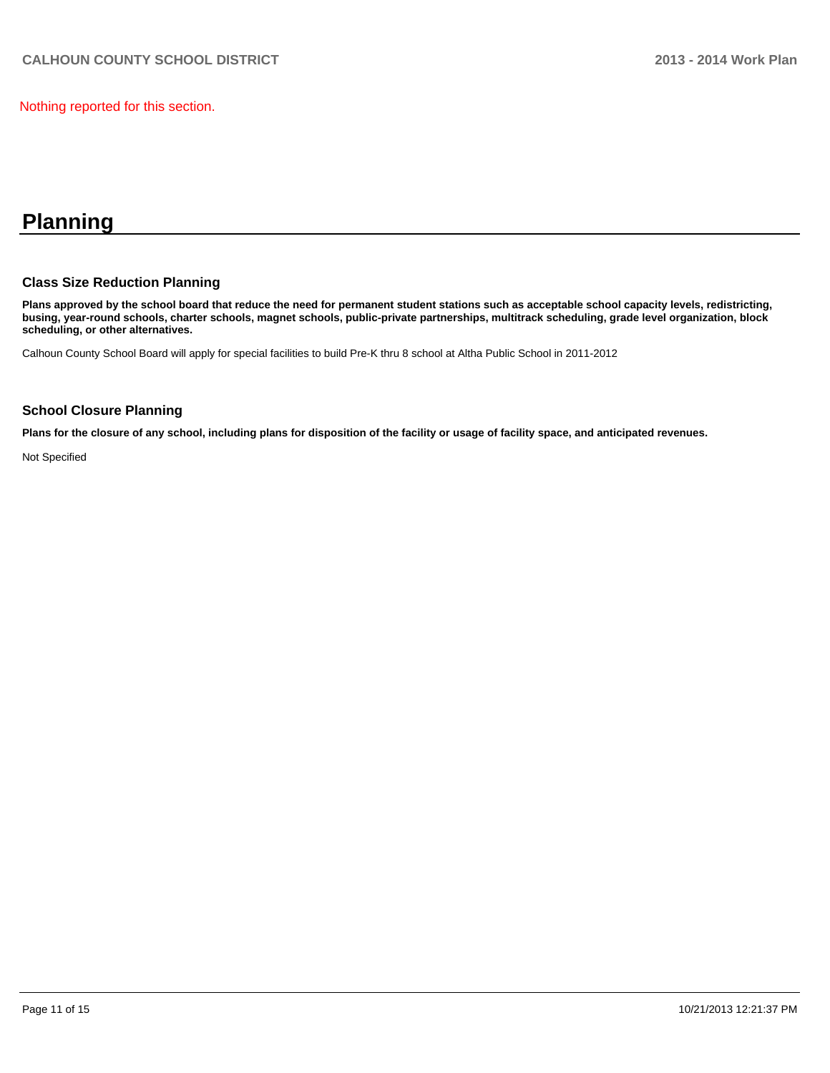Nothing reported for this section.

# **Planning**

### **Class Size Reduction Planning**

**Plans approved by the school board that reduce the need for permanent student stations such as acceptable school capacity levels, redistricting, busing, year-round schools, charter schools, magnet schools, public-private partnerships, multitrack scheduling, grade level organization, block scheduling, or other alternatives.**

Calhoun County School Board will apply for special facilities to build Pre-K thru 8 school at Altha Public School in 2011-2012

#### **School Closure Planning**

**Plans for the closure of any school, including plans for disposition of the facility or usage of facility space, and anticipated revenues.**

Not Specified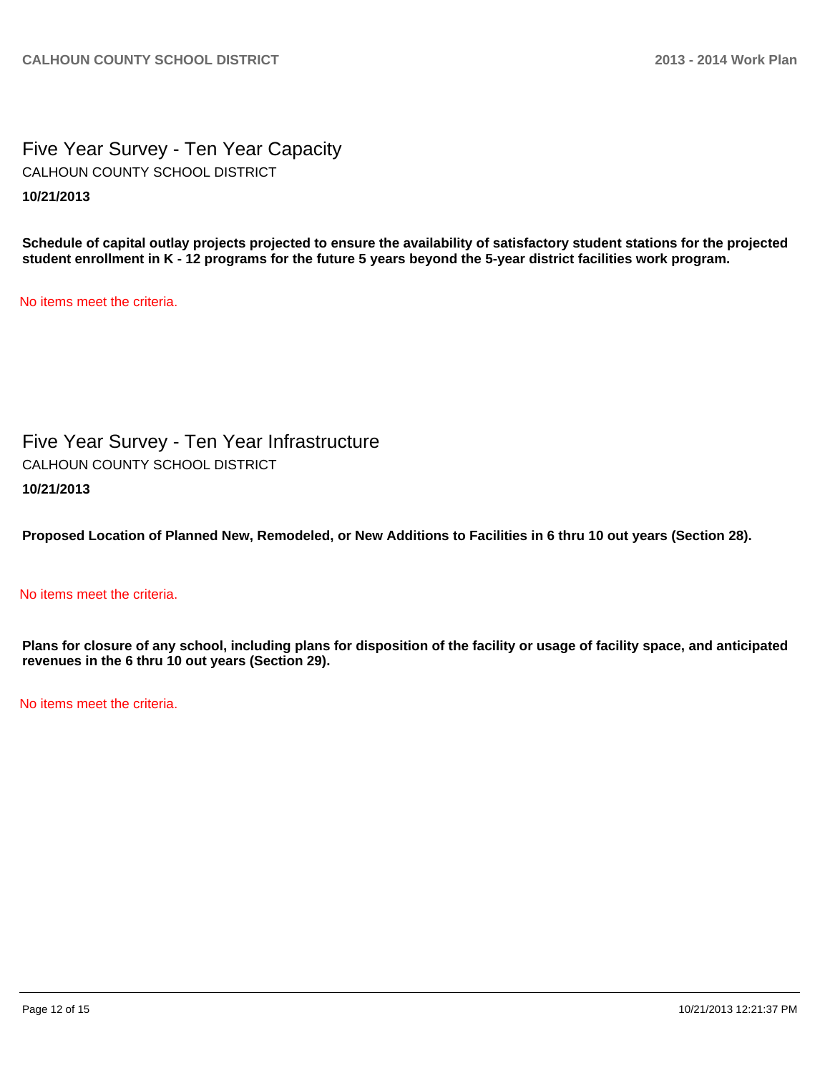Five Year Survey - Ten Year Capacity **10/21/2013** CALHOUN COUNTY SCHOOL DISTRICT

**Schedule of capital outlay projects projected to ensure the availability of satisfactory student stations for the projected student enrollment in K - 12 programs for the future 5 years beyond the 5-year district facilities work program.**

No items meet the criteria.

Five Year Survey - Ten Year Infrastructure **10/21/2013** CALHOUN COUNTY SCHOOL DISTRICT

**Proposed Location of Planned New, Remodeled, or New Additions to Facilities in 6 thru 10 out years (Section 28).**

### No items meet the criteria.

**Plans for closure of any school, including plans for disposition of the facility or usage of facility space, and anticipated revenues in the 6 thru 10 out years (Section 29).**

No items meet the criteria.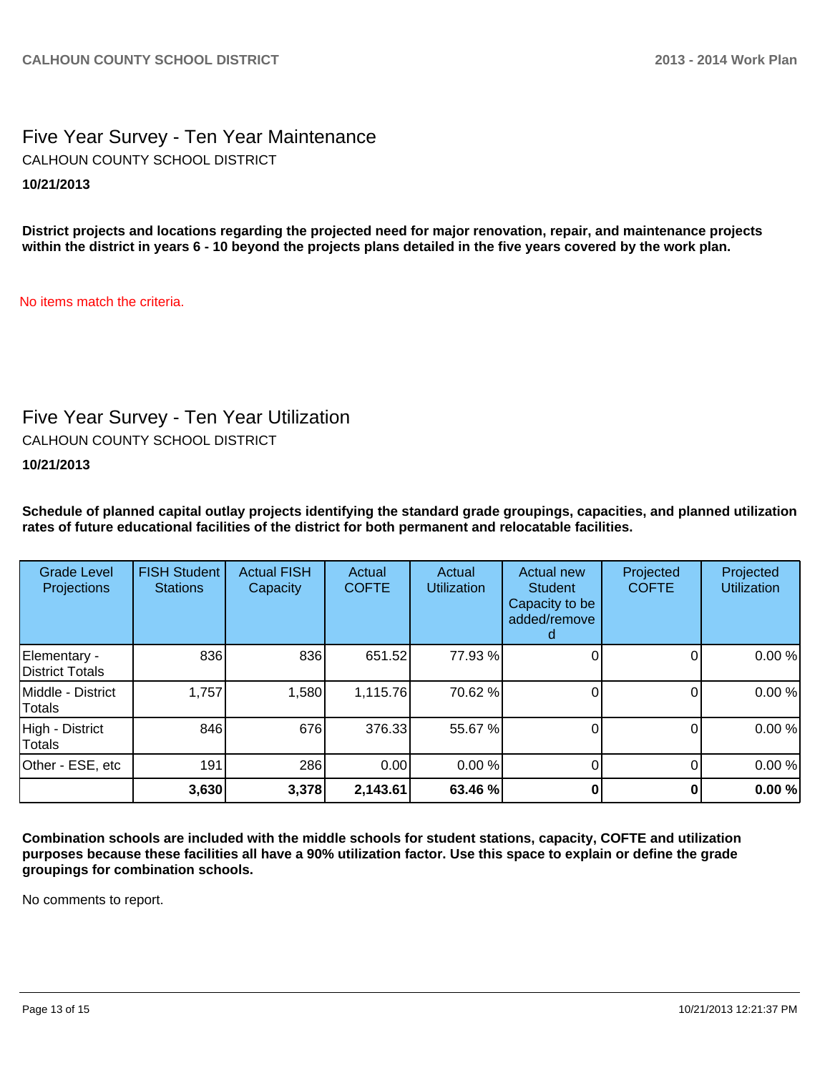# Five Year Survey - Ten Year Maintenance **10/21/2013** CALHOUN COUNTY SCHOOL DISTRICT

**District projects and locations regarding the projected need for major renovation, repair, and maintenance projects within the district in years 6 - 10 beyond the projects plans detailed in the five years covered by the work plan.**

No items match the criteria.

# Five Year Survey - Ten Year Utilization

CALHOUN COUNTY SCHOOL DISTRICT

## **10/21/2013**

**Schedule of planned capital outlay projects identifying the standard grade groupings, capacities, and planned utilization rates of future educational facilities of the district for both permanent and relocatable facilities.**

| <b>Grade Level</b><br>Projections | <b>FISH Student</b><br><b>Stations</b> | <b>Actual FISH</b><br>Capacity | Actual<br><b>COFTE</b> | Actual<br><b>Utilization</b> | Actual new<br><b>Student</b><br>Capacity to be<br>added/remove | Projected<br><b>COFTE</b> | Projected<br><b>Utilization</b> |
|-----------------------------------|----------------------------------------|--------------------------------|------------------------|------------------------------|----------------------------------------------------------------|---------------------------|---------------------------------|
| Elementary -<br>District Totals   | 836                                    | 836                            | 651.52                 | 77.93 %                      |                                                                | 0                         | 0.00%                           |
| Middle - District<br>Totals       | 1,757                                  | 1,580                          | 1,115.76               | 70.62%                       |                                                                |                           | 0.00%                           |
| High - District<br>Totals         | 846                                    | 676                            | 376.33                 | 55.67 %                      |                                                                | O                         | 0.00%                           |
| Other - ESE, etc                  | 191                                    | 286                            | 0.00                   | 0.00%                        |                                                                | 0                         | 0.00%                           |
|                                   | 3,630                                  | 3,378                          | 2,143.61               | 63.46 %                      |                                                                |                           | 0.00%                           |

**Combination schools are included with the middle schools for student stations, capacity, COFTE and utilization purposes because these facilities all have a 90% utilization factor. Use this space to explain or define the grade groupings for combination schools.**

No comments to report.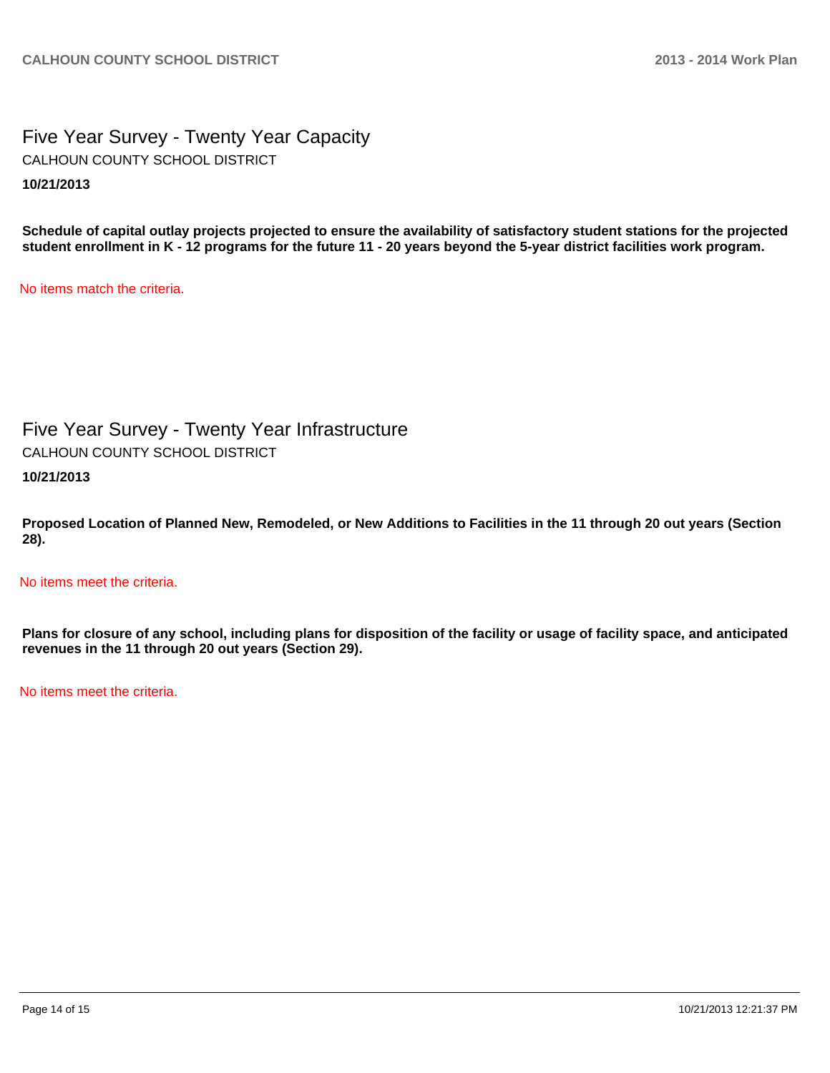Five Year Survey - Twenty Year Capacity **10/21/2013** CALHOUN COUNTY SCHOOL DISTRICT

**Schedule of capital outlay projects projected to ensure the availability of satisfactory student stations for the projected student enrollment in K - 12 programs for the future 11 - 20 years beyond the 5-year district facilities work program.**

No items match the criteria.

Five Year Survey - Twenty Year Infrastructure **10/21/2013** CALHOUN COUNTY SCHOOL DISTRICT

**Proposed Location of Planned New, Remodeled, or New Additions to Facilities in the 11 through 20 out years (Section 28).**

No items meet the criteria.

**Plans for closure of any school, including plans for disposition of the facility or usage of facility space, and anticipated revenues in the 11 through 20 out years (Section 29).**

No items meet the criteria.